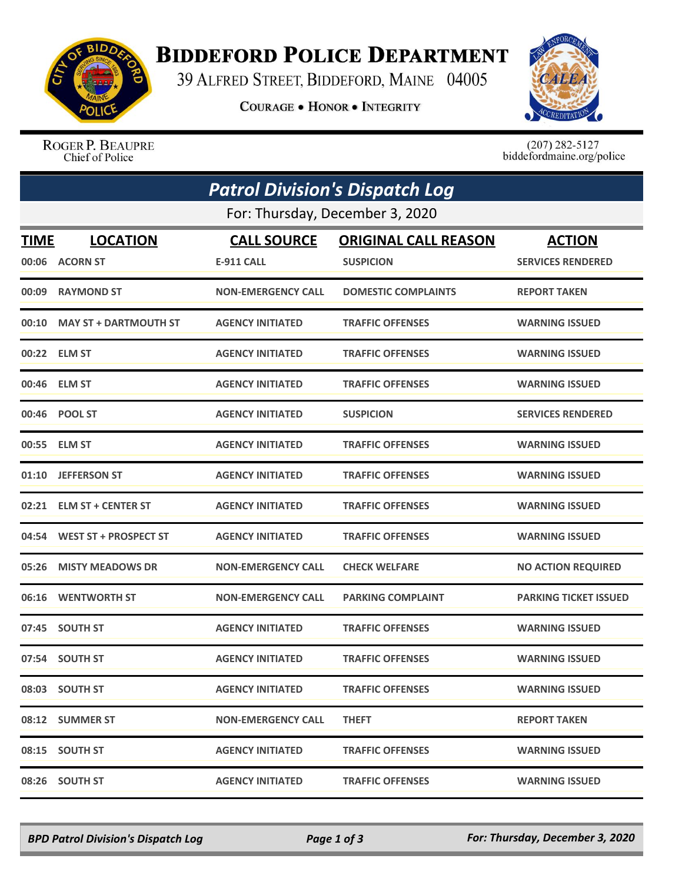

## **BIDDEFORD POLICE DEPARTMENT**

39 ALFRED STREET, BIDDEFORD, MAINE 04005

**COURAGE . HONOR . INTEGRITY** 



ROGER P. BEAUPRE Chief of Police

 $(207)$  282-5127<br>biddefordmaine.org/police

| <b>Patrol Division's Dispatch Log</b> |                              |                           |                             |                              |  |  |  |
|---------------------------------------|------------------------------|---------------------------|-----------------------------|------------------------------|--|--|--|
| For: Thursday, December 3, 2020       |                              |                           |                             |                              |  |  |  |
| <b>TIME</b>                           | <b>LOCATION</b>              | <b>CALL SOURCE</b>        | <b>ORIGINAL CALL REASON</b> | <b>ACTION</b>                |  |  |  |
| 00:06                                 | <b>ACORN ST</b>              | <b>E-911 CALL</b>         | <b>SUSPICION</b>            | <b>SERVICES RENDERED</b>     |  |  |  |
| 00:09                                 | <b>RAYMOND ST</b>            | <b>NON-EMERGENCY CALL</b> | <b>DOMESTIC COMPLAINTS</b>  | <b>REPORT TAKEN</b>          |  |  |  |
| 00:10                                 | <b>MAY ST + DARTMOUTH ST</b> | <b>AGENCY INITIATED</b>   | <b>TRAFFIC OFFENSES</b>     | <b>WARNING ISSUED</b>        |  |  |  |
| 00:22                                 | <b>ELM ST</b>                | <b>AGENCY INITIATED</b>   | <b>TRAFFIC OFFENSES</b>     | <b>WARNING ISSUED</b>        |  |  |  |
|                                       | 00:46 ELM ST                 | <b>AGENCY INITIATED</b>   | <b>TRAFFIC OFFENSES</b>     | <b>WARNING ISSUED</b>        |  |  |  |
|                                       | 00:46 POOL ST                | <b>AGENCY INITIATED</b>   | <b>SUSPICION</b>            | <b>SERVICES RENDERED</b>     |  |  |  |
| 00:55                                 | <b>ELM ST</b>                | <b>AGENCY INITIATED</b>   | <b>TRAFFIC OFFENSES</b>     | <b>WARNING ISSUED</b>        |  |  |  |
| 01:10                                 | <b>JEFFERSON ST</b>          | <b>AGENCY INITIATED</b>   | <b>TRAFFIC OFFENSES</b>     | <b>WARNING ISSUED</b>        |  |  |  |
| 02:21                                 | <b>ELM ST + CENTER ST</b>    | <b>AGENCY INITIATED</b>   | <b>TRAFFIC OFFENSES</b>     | <b>WARNING ISSUED</b>        |  |  |  |
| 04:54                                 | <b>WEST ST + PROSPECT ST</b> | <b>AGENCY INITIATED</b>   | <b>TRAFFIC OFFENSES</b>     | <b>WARNING ISSUED</b>        |  |  |  |
| 05:26                                 | <b>MISTY MEADOWS DR</b>      | <b>NON-EMERGENCY CALL</b> | <b>CHECK WELFARE</b>        | <b>NO ACTION REQUIRED</b>    |  |  |  |
| 06:16                                 | <b>WENTWORTH ST</b>          | <b>NON-EMERGENCY CALL</b> | <b>PARKING COMPLAINT</b>    | <b>PARKING TICKET ISSUED</b> |  |  |  |
| 07:45                                 | <b>SOUTH ST</b>              | <b>AGENCY INITIATED</b>   | <b>TRAFFIC OFFENSES</b>     | <b>WARNING ISSUED</b>        |  |  |  |
|                                       | 07:54 SOUTH ST               | <b>AGENCY INITIATED</b>   | <b>TRAFFIC OFFENSES</b>     | <b>WARNING ISSUED</b>        |  |  |  |
|                                       | 08:03 SOUTH ST               | <b>AGENCY INITIATED</b>   | <b>TRAFFIC OFFENSES</b>     | <b>WARNING ISSUED</b>        |  |  |  |
|                                       | 08:12 SUMMER ST              | <b>NON-EMERGENCY CALL</b> | <b>THEFT</b>                | <b>REPORT TAKEN</b>          |  |  |  |
|                                       | 08:15 SOUTH ST               | <b>AGENCY INITIATED</b>   | <b>TRAFFIC OFFENSES</b>     | <b>WARNING ISSUED</b>        |  |  |  |
|                                       | 08:26 SOUTH ST               | <b>AGENCY INITIATED</b>   | <b>TRAFFIC OFFENSES</b>     | <b>WARNING ISSUED</b>        |  |  |  |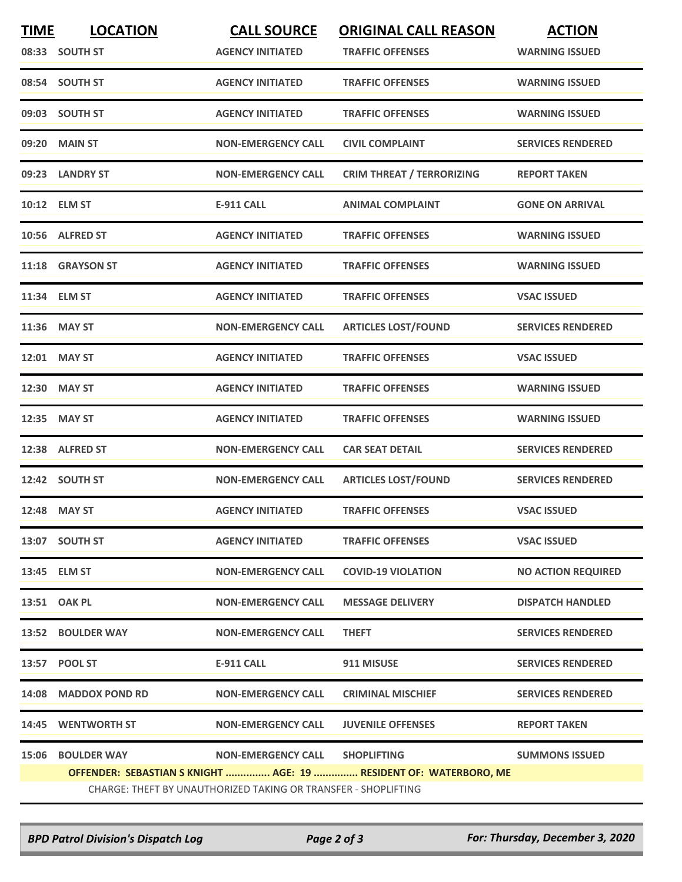| <b>TIME</b>                                                    | <b>LOCATION</b>      | <b>CALL SOURCE</b>             | <b>ORIGINAL CALL REASON</b>                                       | <b>ACTION</b>             |  |  |  |
|----------------------------------------------------------------|----------------------|--------------------------------|-------------------------------------------------------------------|---------------------------|--|--|--|
|                                                                | 08:33 SOUTH ST       | <b>AGENCY INITIATED</b>        | <b>TRAFFIC OFFENSES</b>                                           | <b>WARNING ISSUED</b>     |  |  |  |
|                                                                | 08:54 SOUTH ST       | <b>AGENCY INITIATED</b>        | <b>TRAFFIC OFFENSES</b>                                           | <b>WARNING ISSUED</b>     |  |  |  |
|                                                                | 09:03 SOUTH ST       | <b>AGENCY INITIATED</b>        | <b>TRAFFIC OFFENSES</b>                                           | <b>WARNING ISSUED</b>     |  |  |  |
| 09:20                                                          | <b>MAIN ST</b>       | <b>NON-EMERGENCY CALL</b>      | <b>CIVIL COMPLAINT</b>                                            | <b>SERVICES RENDERED</b>  |  |  |  |
|                                                                | 09:23 LANDRY ST      | <b>NON-EMERGENCY CALL</b>      | <b>CRIM THREAT / TERRORIZING</b>                                  | <b>REPORT TAKEN</b>       |  |  |  |
|                                                                | 10:12 ELM ST         | <b>E-911 CALL</b>              | <b>ANIMAL COMPLAINT</b>                                           | <b>GONE ON ARRIVAL</b>    |  |  |  |
|                                                                | 10:56 ALFRED ST      | <b>AGENCY INITIATED</b>        | <b>TRAFFIC OFFENSES</b>                                           | <b>WARNING ISSUED</b>     |  |  |  |
|                                                                | 11:18 GRAYSON ST     | <b>AGENCY INITIATED</b>        | <b>TRAFFIC OFFENSES</b>                                           | <b>WARNING ISSUED</b>     |  |  |  |
|                                                                | 11:34 ELM ST         | <b>AGENCY INITIATED</b>        | <b>TRAFFIC OFFENSES</b>                                           | <b>VSAC ISSUED</b>        |  |  |  |
|                                                                | 11:36 MAY ST         | <b>NON-EMERGENCY CALL</b>      | <b>ARTICLES LOST/FOUND</b>                                        | <b>SERVICES RENDERED</b>  |  |  |  |
|                                                                | 12:01 MAY ST         | <b>AGENCY INITIATED</b>        | <b>TRAFFIC OFFENSES</b>                                           | <b>VSAC ISSUED</b>        |  |  |  |
|                                                                | 12:30 MAY ST         | <b>AGENCY INITIATED</b>        | <b>TRAFFIC OFFENSES</b>                                           | <b>WARNING ISSUED</b>     |  |  |  |
| 12:35                                                          | <b>MAY ST</b>        | <b>AGENCY INITIATED</b>        | <b>TRAFFIC OFFENSES</b>                                           | <b>WARNING ISSUED</b>     |  |  |  |
| 12:38                                                          | <b>ALFRED ST</b>     | <b>NON-EMERGENCY CALL</b>      | <b>CAR SEAT DETAIL</b>                                            | <b>SERVICES RENDERED</b>  |  |  |  |
|                                                                | 12:42 SOUTH ST       | <b>NON-EMERGENCY CALL</b>      | <b>ARTICLES LOST/FOUND</b>                                        | <b>SERVICES RENDERED</b>  |  |  |  |
|                                                                | 12:48 MAY ST         | <b>AGENCY INITIATED</b>        | <b>TRAFFIC OFFENSES</b>                                           | <b>VSAC ISSUED</b>        |  |  |  |
|                                                                | 13:07 SOUTH ST       | <b>AGENCY INITIATED</b>        | <b>TRAFFIC OFFENSES</b>                                           | <b>VSAC ISSUED</b>        |  |  |  |
|                                                                | 13:45 ELM ST         | <b>NON-EMERGENCY CALL</b>      | <b>COVID-19 VIOLATION</b>                                         | <b>NO ACTION REQUIRED</b> |  |  |  |
|                                                                | 13:51 OAK PL         | <b>NON-EMERGENCY CALL</b>      | <b>MESSAGE DELIVERY</b>                                           | <b>DISPATCH HANDLED</b>   |  |  |  |
|                                                                | 13:52 BOULDER WAY    | <b>NON-EMERGENCY CALL</b>      | <b>THEFT</b>                                                      | <b>SERVICES RENDERED</b>  |  |  |  |
|                                                                | 13:57 POOL ST        | E-911 CALL                     | 911 MISUSE                                                        | <b>SERVICES RENDERED</b>  |  |  |  |
|                                                                | 14:08 MADDOX POND RD | <b>NON-EMERGENCY CALL</b>      | <b>CRIMINAL MISCHIEF</b>                                          | <b>SERVICES RENDERED</b>  |  |  |  |
|                                                                | 14:45 WENTWORTH ST   | <b>NON-EMERGENCY CALL</b>      | <b>JUVENILE OFFENSES</b>                                          | <b>REPORT TAKEN</b>       |  |  |  |
|                                                                | 15:06 BOULDER WAY    | NON-EMERGENCY CALL SHOPLIFTING |                                                                   | <b>SUMMONS ISSUED</b>     |  |  |  |
|                                                                |                      |                                | OFFENDER: SEBASTIAN S KNIGHT  AGE: 19  RESIDENT OF: WATERBORO, ME |                           |  |  |  |
| CHARGE: THEFT BY UNAUTHORIZED TAKING OR TRANSFER - SHOPLIFTING |                      |                                |                                                                   |                           |  |  |  |

*BPD Patrol Division's Dispatch Log Page 2 of 3 For: Thursday, December 3, 2020*